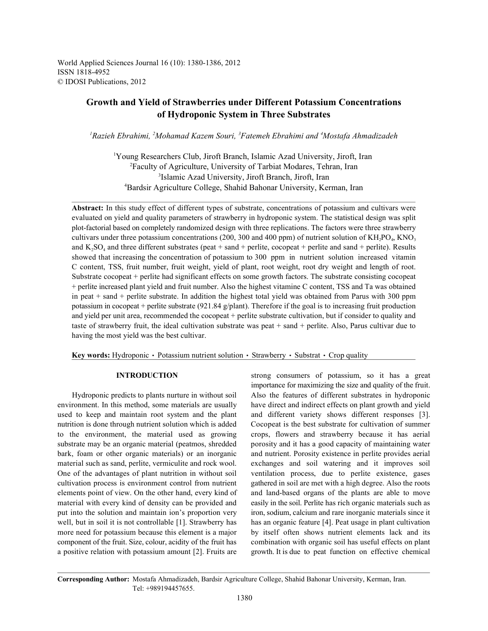World Applied Sciences Journal 16 (10): 1380-1386, 2012 ISSN 1818-4952 © IDOSI Publications, 2012

# **Growth and Yield of Strawberries under Different Potassium Concentrations of Hydroponic System in Three Substrates**

<sup>1</sup> Razieh Ebrahimi, <sup>2</sup> Mohamad Kazem Souri, <sup>3</sup> Fatemeh Ebrahimi and <sup>4</sup> Mostafa Ahmadizadeh

Young Researchers Club, Jiroft Branch, Islamic Azad University, Jiroft, Iran 1 Faculty of Agriculture, University of Tarbiat Modares, Tehran, Iran <sup>2</sup> <sup>3</sup>Islamic Azad University, Jiroft Branch, Jiroft, Iran Bardsir Agriculture College, Shahid Bahonar University, Kerman, Iran <sup>4</sup>

**Abstract:** In this study effect of different types of substrate, concentrations of potassium and cultivars were evaluated on yield and quality parameters of strawberry in hydroponic system. The statistical design was split plot-factorial based on completely randomized design with three replications. The factors were three strawberry cultivars under three potassium concentrations (200, 300 and 400 ppm) of nutrient solution of  $KH_2PO_4$ ,  $KNO_3$ and K<sub>2</sub>SO<sub>4</sub> and three different substrates (peat  $+$  sand  $+$  perlite, cocopeat  $+$  perlite and sand  $+$  perlite). Results showed that increasing the concentration of potassium to 300 ppm in nutrient solution increased vitamin C content, TSS, fruit number, fruit weight, yield of plant, root weight, root dry weight and length of root. Substrate cocopeat + perlite had significant effects on some growth factors. The substrate consisting cocopeat + perlite increased plant yield and fruit number. Also the highest vitamine C content, TSS and Ta was obtained in peat + sand + perlite substrate. In addition the highest total yield was obtained from Parus with 300 ppm potassium in cocopeat + perlite substrate (921.84  $g$ /plant). Therefore if the goal is to increasing fruit production and yield per unit area, recommended the cocopeat + perlite substrate cultivation, but if consider to quality and taste of strawberry fruit, the ideal cultivation substrate was peat + sand + perlite. Also, Parus cultivar due to having the most yield was the best cultivar.

**Key words:** Hydroponic • Potassium nutrient solution • Strawberry • Substrat • Crop quality

environment. In this method, some materials are usually have direct and indirect effects on plant growth and yield used to keep and maintain root system and the plant and different variety shows different responses [3]. nutrition is done through nutrient solution which is added Cocopeat is the best substrate for cultivation of summer to the environment, the material used as growing crops, flowers and strawberry because it has aerial substrate may be an organic material (peatmos, shredded porosity and it has a good capacity of maintaining water bark, foam or other organic materials) or an inorganic and nutrient. Porosity existence in perlite provides aerial material such as sand, perlite, vermiculite and rock wool. exchanges and soil watering and it improves soil One of the advantages of plant nutrition in without soil ventilation process, due to perlite existence, gases cultivation process is environment control from nutrient gathered in soil are met with a high degree. Also the roots elements point of view. On the other hand, every kind of and land-based organs of the plants are able to move material with every kind of density can be provided and easily in the soil. Perlite has rich organic materials such as put into the solution and maintain ion's proportion very iron, sodium, calcium and rare inorganic materials since it well, but in soil it is not controllable [1]. Strawberry has has an organic feature [4]. Peat usage in plant cultivation more need for potassium because this element is a major by itself often shows nutrient elements lack and its component of the fruit. Size, colour, acidity of the fruit has combination with organic soil has useful effects on plant a positive relation with potassium amount [2]. Fruits are growth. It is due to peat function on effective chemical

**INTRODUCTION** strong consumers of potassium, so it has a great Hydroponic predicts to plants nurture in without soil Also the features of different substrates in hydroponic importance for maximizing the size and quality of the fruit.

**Corresponding Author:** Mostafa Ahmadizadeh, Bardsir Agriculture College, Shahid Bahonar University, Kerman, Iran. Tel: +989194457655.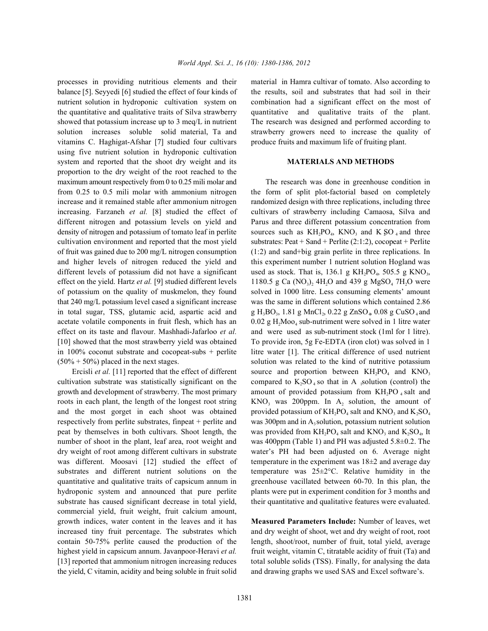balance [5]. Seyyedi [6] studied the effect of four kinds of the results, soil and substrates that had soil in their nutrient solution in hydroponic cultivation system on combination had a significant effect on the most of the quantitative and qualitative traits of Silva strawberry quantitative and qualitative traits of the plant. showed that potassium increase up to 3 meq/L in nutrient The research was designed and performed according to solution increases soluble solid material, Ta and strawberry growers need to increase the quality of vitamins C. Haghigat-Afshar [7] studied four cultivars produce fruits and maximum life of fruiting plant. using five nutrient solution in hydroponic cultivation system and reported that the shoot dry weight and its **MATERIALS AND METHODS** proportion to the dry weight of the root reached to the maximum amount respectively from 0 to 0.25 mili molar and The research was done in greenhouse condition in from 0.25 to 0.5 mili molar with ammonium nitrogen the form of split plot-factorial based on completely increase and it remained stable after ammonium nitrogen randomized design with three replications, including three increasing. Farzaneh *et al.* [8] studied the effect of cultivars of strawberry including Camaosa, Silva and different nitrogen and potassium levels on yield and Parus and three different potassium concentration from density of nitrogen and potassium of tomato leaf in perlite sources such as  $KH_2PO_4$ , KNO<sub>3</sub> and K SO<sub>4</sub> and three cultivation environment and reported that the most yield substrates: Peat + Sand + Perlite  $(2:1:2)$ , cocopeat + Perlite of fruit was gained due to 200 mg/L nitrogen consumption (1:2) and sand+big grain perlite in three replications. In and higher levels of nitrogen reduced the yield and this experiment number 1 nutrient solution Hogland was different levels of potassium did not have a significant used as stock. That is,  $136.1 \text{ g } KH_2PO_4$ ,  $505.5 \text{ g } KNO_3$ , effect on the yield. Hartz *et al.* [9] studied different levels of potassium on the quality of muskmelon, they found solved in 1000 litre. Less consuming elements' amount that 240 mg/L potassium level cased a significant increase was the same in different solutions which contained 2.86 in total sugar, TSS, glutamic acid, aspartic acid and g  $H_3BO_3$ , 1.81 g MnCl<sub>2</sub>, 0.22 g ZnSO<sub>4</sub>, 0.08 g CuSO<sub>4</sub> and acetate volatile components in fruit flesh, which has an  $0.02 \text{ g H}_2\text{MoO}_4 \text{ sub-nutriment were solved in 1 litre water}$ effect on its taste and flavour. Mashhadi-Jafarloo *et al.* and were used as sub-nutriment stock (1ml for 1 litre). [10] showed that the most strawberry yield was obtained To provide iron, 5g Fe-EDTA (iron clot) was solved in 1 in 100% coconut substrate and cocopeat-subs + perlite litre water [1]. The critical difference of used nutrient  $(50\% + 50\%)$  placed in the next stages. solution was related to the kind of nutritive potassium

cultivation substrate was statistically significant on the compared to  $K_2SO_4$  so that in A solution (control) the growth and development of strawberry. The most primary amount of provided potassium from  $KH_2PO_4$  salt and roots in each plant, the length of the longest root string  $KNO<sub>3</sub>$  was 200ppm. In  $A<sub>2</sub>$  solution, the amount of and the most gorget in each shoot was obtained respectively from perlite substrates, finpeat  $+$  perlite and was 300pm and in  $A_3$  solution, potassium nutrient solution peat by themselves in both cultivars. Shoot length, the was provided from  $KH_2PO_4$  salt and  $KNO_3$  and  $K_2SO_4$ , It number of shoot in the plant, leaf area, root weight and was 400ppm (Table 1) and PH was adjusted 5.8±0.2. The dry weight of root among different cultivars in substrate water's PH had been adjusted on 6. Average night was different. Moosavi [12] studied the effect of temperature in the experiment was  $18\pm2$  and average day substrates and different nutrient solutions on the temperature was  $25\pm2$ °C. Relative humidity in the quantitative and qualitative traits of capsicum annum in greenhouse vacillated between 60-70. In this plan, the hydroponic system and announced that pure perlite plants were put in experiment condition for 3 months and substrate has caused significant decrease in total yield, their quantitative and qualitative features were evaluated. commercial yield, fruit weight, fruit calcium amount, growth indices, water content in the leaves and it has **Measured Parameters Include:** Number of leaves, wet increased tiny fruit percentage. The substrates which and dry weight of shoot, wet and dry weight of root, root contain 50-75% perlite caused the production of the length, shoot/root, number of fruit, total yield, average highest yield in capsicum annum. Javanpoor-Heravi *et al.* fruit weight, vitamin C, titratable acidity of fruit (Ta) and [13] reported that ammonium nitrogen increasing reduces total soluble solids (TSS). Finally, for analysing the data the yield, C vitamin, acidity and being soluble in fruit solid and drawing graphs we used SAS and Excel software's.

processes in providing nutritious elements and their material in Hamra cultivar of tomato. Also according to

Ercisli *et al.* [11] reported that the effect of different source and proportion between  $KH_2PO_4$  and  $KNO_3$ 1180.5 g Ca (NO<sub>3</sub>), 4H<sub>2</sub>O and 439 g MgSO<sub>4</sub> 7H<sub>2</sub>O were provided potassium of  $KH_2PO_4$  salt and  $KNO_3$  and  $K_2SO_4$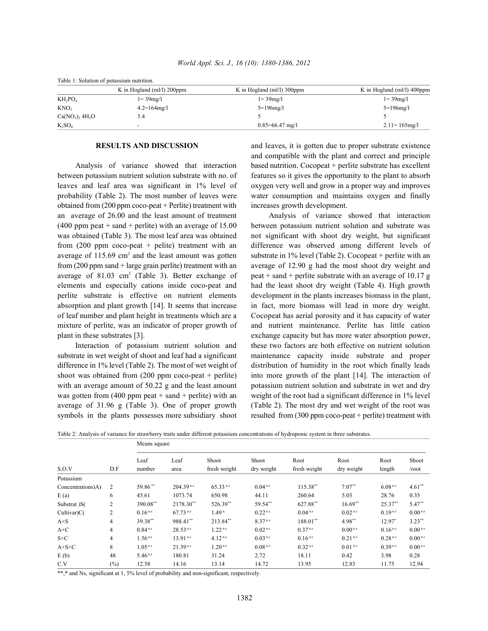| Table 1: Solution of potassium nutrition. |                               |                               |                               |  |  |  |  |  |
|-------------------------------------------|-------------------------------|-------------------------------|-------------------------------|--|--|--|--|--|
|                                           | K in Hogland (ml/l) $200$ ppm | K in Hogland (ml/l) $300$ ppm | K in Hogland (ml/l) $400$ ppm |  |  |  |  |  |
| $KH_2PO_4$                                | $1 = 39mg/l$                  | $1 = 39mg/1$                  | $1 = 39mg/l$                  |  |  |  |  |  |
| KNO <sub>3</sub>                          | $4.2 = 164$ mg/l              | $5 = 196$ mg/l                | $5 = 196$ mg/l                |  |  |  |  |  |
| $Ca(NO_3)$ , 4H <sub>2</sub> O            | 5.4                           |                               |                               |  |  |  |  |  |
| $K_2SO_4$                                 | $\overline{\phantom{a}}$      | $0.85 = 66.47$ mg/l           | $2.11 = 165$ mg/l             |  |  |  |  |  |

between potassium nutrient solution substrate with no. of features so it gives the opportunity to the plant to absorb leaves and leaf area was significant in 1% level of oxygen very well and grow in a proper way and improves probability (Table 2). The most number of leaves were water consumption and maintains oxygen and finally obtained from (200 ppm coco-peat + Perlite) treatment with increases growth development. an average of 26.00 and the least amount of treatment Analysis of variance showed that interaction (400 ppm peat + sand + perlite) with an average of 15.00 between potassium nutrient solution and substrate was was obtained (Table 3). The most leaf area was obtained not significant with shoot dry weight, but significant average of 115.69 cm<sup>2</sup> and the least amount was gotten substrate in 1% level (Table 2). Cocopeat + perlite with an from (200 ppm sand + large grain perlite) treatment with an average of 12.90 g had the most shoot dry weight and average of 81.03 cm<sup>2</sup> (Table 3). Better exchange of peat + sand + perlite substrate with an average of 10.17 g elements and especially cations inside coco-peat and had the least shoot dry weight (Table 4). High growth perlite substrate is effective on nutrient elements development in the plants increases biomass in the plant, absorption and plant growth [14]. It seems that increase in fact, more biomass will lead in more dry weight. of leaf number and plant height in treatments which are a Cocopeat has aerial porosity and it has capacity of water mixture of perlite, was an indicator of proper growth of and nutrient maintenance. Perlite has little cation plant in these substrates [3]. exchange capacity but has more water absorption power,

substrate in wet weight of shoot and leaf had a significant maintenance capacity inside substrate and proper difference in 1% level (Table 2). The most of wet weight of distribution of humidity in the root which finally leads with an average amount of 50.22 g and the least amount potassium nutrient solution and substrate in wet and dry was gotten from (400 ppm peat + sand + perlite) with an weight of the root had a significant difference in 1% level average of 31.96 g (Table 3). One of proper growth (Table 2). The most dry and wet weight of the root was symbols in the plants possesses more subsidiary shoot resulted from (300 ppm coco-peat + perlite) treatment with

**RESULTS AND DISCUSSION** and leaves, it is gotten due to proper substrate existence Analysis of variance showed that interaction based nutrition. Cocopeat + perlite substrate has excellent and compatible with the plant and correct and principle

from (200 ppm coco-peat + pelite) treatment with an difference was observed among different levels of Interaction of potassium nutrient solution and these two factors are both effective on nutrient solution shoot was obtained from (200 ppm coco-peat + perlite) into more growth of the plant [14]. The interaction of

|                       |                | . .<br>Means square |                |                   |                       |              |                       |              |                    |  |
|-----------------------|----------------|---------------------|----------------|-------------------|-----------------------|--------------|-----------------------|--------------|--------------------|--|
|                       |                | Leaf                | Leaf           | Shoot             | Shoot                 | Root         | Root                  | Root         | Shoot              |  |
| S.O.V                 | D.F            | number              | area           | fresh weight      | dry weight            | fresh weight | dry weight            | length       | /root              |  |
| Potassium             |                |                     |                |                   |                       |              |                       |              |                    |  |
| Concentrations)A)     | 2              | 59.86**             | $204.39^{n.s}$ | $65.33^{n.s}$     | $0.04^{n.s}$          | $115.38**$   | $7.07**$              | $6.08^{n.s}$ | $4.61**$           |  |
| E(a)                  | 6              | 45.61               | 1073.74        | 650.98            | 44.11                 | 260.64       | 5.03                  | 28.76        | 0.35               |  |
| Substrat )S(          | 2              | 390.08**            | 2178.30**      | 526.39**          | 59.54**               | 627.88**     | $16.69**$             | $25.37**$    | $5.47**$           |  |
| Cultivar)C(           | 2              | $0.16^{n.s}$        | $67.73^{n.s}$  | 1.49 <sup>n</sup> | $0.22$ <sup>n.s</sup> | $0.04^{n.s}$ | $0.02^{n.s}$          | $0.19^{n.s}$ | 0.00 <sup>ns</sup> |  |
| $A \times S$          | $\overline{4}$ | 39.38**             | 988.41**       | 213.84**          | 8.37 <sup>ns</sup>    | 188.01**     | $4.98**$              | $12.97*$     | $3.23***$          |  |
| $A \times C$          | 4              | $0.84^{n.s}$        | 28.53 n.s      | $1.22^{n.s}$      | $0.02^{n.s}$          | $0.37^{n.s}$ | 0.00 <sup>ns</sup>    | $0.16^{n.s}$ | 0.00 <sup>ns</sup> |  |
| $S \times C$          | 4              | $1.56^{n.s}$        | $13.91^{n.s}$  | $4.12^{n.s}$      | $0.03^{n.s}$          | $0.16^{n.s}$ | $0.21$ <sup>n.s</sup> | $0.28^{n.s}$ | $0.00^{n.s}$       |  |
| $A \times S \times C$ | 8              | $1.05^{n.s}$        | $21.39^{n.s}$  | $1.20^{n.s}$      | $0.08^{n.s}$          | $0.32^{n.s}$ | $0.01$ <sup>n.s</sup> | $0.39^{n.s}$ | 0.00 <sup>ns</sup> |  |
| E(b)                  | 48             | $5.46^{n.s}$        | 180.81         | 31.24             | 2.72                  | 18.11        | 0.42                  | 3.98         | 0.28               |  |
| C.V                   | $(\%)$         | 12.58               | 14.16          | 13.14             | 14.72                 | 13.95        | 12.83                 | 11.75        | 12.94              |  |

Table 2: Analysis of variance for strawberry traits under different potassium concentrations of hydroponic system in three substrates.

\*\*,\* and Ns, significant at 1, 5% level of probability and non-significant, respectively.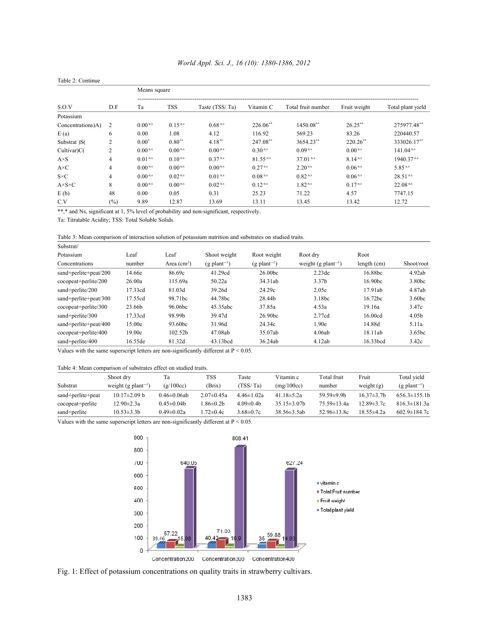| Table 2: Continue     |                |                       |                       |                       |                        |                        |              |                          |  |
|-----------------------|----------------|-----------------------|-----------------------|-----------------------|------------------------|------------------------|--------------|--------------------------|--|
|                       |                | Means square          |                       |                       |                        |                        |              |                          |  |
| S.O.V                 | D.F            | Ta                    | TSS                   | Taste (TSS/Ta)        | Vitamin C              | Total fruit number     | Fruit weight | Total plant yield        |  |
| Potassium             |                |                       |                       |                       |                        |                        |              |                          |  |
| Concentrations)A)     | 2              | $0.00^{n.s}$          | $0.15^{n.s}$          | $0.68$ <sup>n.s</sup> | $226.06$ <sup>**</sup> | 1450.08**              | $26.25***$   | 275977.48**              |  |
| E(a)                  | 6              | 0.00                  | 1.08                  | 4.12                  | 116.92                 | 569.23                 | 83.26        | 220440.57                |  |
| Substrat )S(          | 2              | $0.00*$               | $0.80**$              | $4.18***$             | 247.08**               | 3654.23**              | $220.26$ **  | 333026.17**              |  |
| Cultivar)C(           | 2              | 0.00 <sup>ns</sup>    | $0.00$ <sup>n.s</sup> | $0.00$ <sup>n.s</sup> | $0.30$ <sup>n.s</sup>  | $0.09^{n.s}$           | $0.00^{n.s}$ | $141.04^{n.s}$           |  |
| $A \times S$          | $\overline{4}$ | $0.01$ <sup>n.s</sup> | $0.10^{n.s}$          | $0.37^{n.s}$          | $81.55^{n.s}$          | $37.01$ <sup>n.s</sup> | $8.14^{n.s}$ | $1940.37$ <sup>n.s</sup> |  |
| $A \times C$          | 4              | $0.00^{n.s}$          | 0.00 <sup>ns</sup>    | $0.00^{n.s}$          | $0.27$ <sup>n.s</sup>  | $2.20^{n.s}$           | $0.06^{n.s}$ | $5.85^{n.s}$             |  |
| $S \times C$          | 4              | $0.00^{n.s}$          | 0.02 <sup>ns</sup>    | $0.01$ <sup>n.s</sup> | $0.08^{n.s}$           | $0.82$ <sup>n.s</sup>  | $0.06^{n.s}$ | $28.51$ <sup>n.s</sup>   |  |
| $A \times S \times C$ | 8              | $0.00^{n.s}$          | $0.00$ <sup>n.s</sup> | $0.02^{n.s}$          | $0.12^{n.s}$           | $1.82^{n.s}$           | $0.17^{n.s}$ | $22.08^{n.s}$            |  |
| E(b)                  | 48             | 0.00                  | 0.05                  | 0.31                  | 25.23                  | 71.22                  | 4.57         | 7747.15                  |  |
| C.V                   | $\frac{6}{6}$  | 9.89                  | 12.87                 | 13.69                 | 13.11                  | 13.45                  | 13.42        | 12.72                    |  |

## *World Appl. Sci. J., 16 (10): 1380-1386, 2012*

\*\*,\* and Ns, significant at 1, 5% level of probability and non-significant, respectively.

Ta: Titratable Acidity; TSS: Total Soluble Solids.

Table 3: Mean comparison of interaction solution of potassium nutrition and substrates on studied traits.

| Substrat/             |         |              |                            |                            |                                 |                     |                    |
|-----------------------|---------|--------------|----------------------------|----------------------------|---------------------------------|---------------------|--------------------|
| Potassium             | Leaf    | Leaf         | Shoot weight               | Root weight                | Root dry                        | Root                |                    |
| Concentrations        | number  | Area $(cm2)$ | $(g$ plant <sup>-1</sup> ) | $(g$ plant <sup>-1</sup> ) | weight (g plant <sup>-1</sup> ) | length (cm)         | Shoot/root         |
| sand+perlite+peat/200 | 14.66e  | 86.69c       | 41.29cd                    | 26.00bc                    | 2.23de                          | 16.88bc             | 4.92ab             |
| cocopeat+perlite/200  | 26.00a  | 115.69a      | 50.22a                     | 34.31ab                    | 3.37 <sub>b</sub>               | 16.90bc             | 3.80bc             |
| sand+perlite/200      | 17.33cd | 81.03d       | 39.26d                     | 24.29c                     | 2.05e                           | 17.91ab             | 4.87ab             |
| sand+perlite+peat/300 | 17.55cd | 98.71bc      | 44.78bc                    | 28.44b                     | 3.18bc                          | 16.72 <sub>bc</sub> | 3.60 <sub>bc</sub> |
| cocopeat+perlite/300  | 23.66b  | 96.06bc      | 45.35abc                   | 37.85a                     | 4.53a                           | 19.16a              | 3.47c              |
| sand+perlite/300      | 17.33cd | 98.99b       | 39.47d                     | 26.90bc                    | 2.77cd                          | 16.00cd             | 4.05 <sub>b</sub>  |
| sand+perlite+peat/400 | 15.00e  | 93.60bc      | 31.96d                     | 24.34c                     | 1.90e                           | 14.88d              | 5.11a              |
| cocopeat+perlite/400  | 19.00c  | 102.52b      | 47.08ab                    | 35.07ab                    | 4.06ab                          | 18.11ab             | 3.65bc             |
| sand+perlite/400      | 16.55de | 81.32d       | 43.13bcd                   | 36.24ab                    | 4.12ab                          | 16.33bcd            | 3.42c              |

Values with the same superscript letters are non-significantly different at P < 0.05.

## Table 4: Mean comparison of substrates effect on studied traits.

|                   | Shoot dry                       | Tа                 | TSS              | Taste            | Vitamin c          | Total fruit       | Fruit            | Total vield                |
|-------------------|---------------------------------|--------------------|------------------|------------------|--------------------|-------------------|------------------|----------------------------|
| Substrat          | weight (g plant <sup>-1</sup> ) | (g/100cc)          | (Brix)           | (TSS/Ta)         | (mg/100cc)         | number            | weight $(g)$     | $(g$ plant <sup>-1</sup> ) |
| sand+perlite+peat | $10.17 \pm 2.09$ b              | $0.46 \pm 0.06$ ab | $2.07 \pm 0.45a$ | $4.46 \pm 1.02a$ | $41.18 \pm 5.2a$   | $59.59 \pm 9.9$ h | $16.37 \pm 3.7b$ | $656.3\pm155.1h$           |
| cocopeat+perlite  | 12.90±2.3a                      | $0.45 \pm 0.04b$   | $1.86 \pm 0.2b$  | $4.09\pm0.4h$    | $35.15 \pm 3.07$ h | $75.59 \pm 13.4a$ | $12.89 \pm 3.7c$ | $816.3 \pm 181.3a$         |
| sand+perlite      | $10.53 \pm 3.3 b$               | $0.49 \pm 0.02a$   | $-72\pm 0.4c$    | $3.68 \pm 0.7c$  | $38.56 \pm 3.5ab$  | 52.96 $\pm$ 13.8c | 18.55±4.2a       | $602.9 \pm 184.7c$         |

Values with the same superscript letters are non-significantly different at P < 0.05.



Fig. 1: Effect of potassium concentrations on quality traits in strawberry cultivars.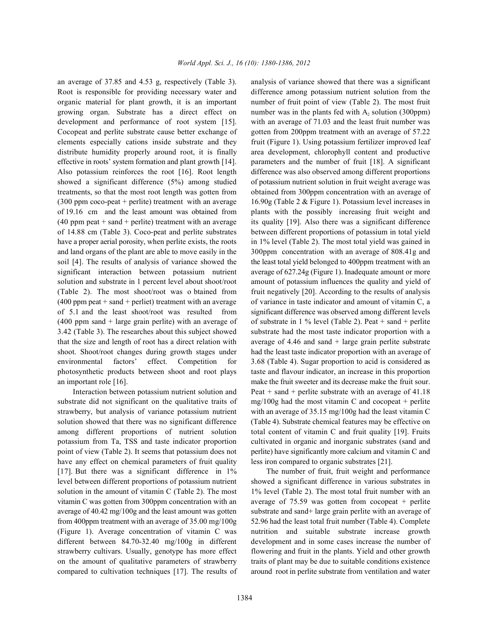Root is responsible for providing necessary water and difference among potassium nutrient solution from the organic material for plant growth, it is an important number of fruit point of view (Table 2). The most fruit growing organ. Substrate has a direct effect on number was in the plants fed with  $A_2$  solution (300ppm) development and performance of root system [15]. with an average of 71.03 and the least fruit number was Cocopeat and perlite substrate cause better exchange of gotten from 200ppm treatment with an average of 57.22 elements especially cations inside substrate and they fruit (Figure 1). Using potassium fertilizer improved leaf distribute humidity properly around root, it is finally area development, chlorophyll content and productive effective in roots' system formation and plant growth [14]. parameters and the number of fruit [18]. A significant Also potassium reinforces the root [16]. Root length difference was also observed among different proportions showed a significant difference (5%) among studied of potassium nutrient solution in fruit weight average was treatments, so that the most root length was gotten from obtained from 300ppm concentration with an average of (300 ppm coco-peat + perlite) treatment with an average 16.90g (Table 2 & Figure 1). Potassium level increases in of 19.16 cm and the least amount was obtained from plants with the possibly increasing fruit weight and (40 ppm peat + sand + perlite) treatment with an average its quality [19]. Also there was a significant difference of 14.88 cm (Table 3). Coco-peat and perlite substrates between different proportions of potassium in total yield have a proper aerial porosity, when perlite exists, the roots in 1% level (Table 2). The most total yield was gained in and land organs of the plant are able to move easily in the 300ppm concentration with an average of 808.41g and soil [4]. The results of analysis of variance showed the the least total yield belonged to 400ppm treatment with an significant interaction between potassium nutrient average of 627.24g (Figure 1). Inadequate amount or more solution and substrate in 1 percent level about shoot/root amount of potassium influences the quality and yield of (Table 2). The most shoot/root was o btained from fruit negatively [20]. According to the results of analysis (400 ppm peat + sand + perliet) treatment with an average of variance in taste indicator and amount of vitamin C, a of 5.1 and the least shoot/root was resulted from significant difference was observed among different levels (400 ppm sand + large grain perlite) with an average of of substrate in 1 % level (Table 2). Peat + sand + perlite 3.42 (Table 3). The researches about this subject showed substrate had the most taste indicator proportion with a that the size and length of root has a direct relation with average of 4.46 and sand + large grain perlite substrate shoot. Shoot/root changes during growth stages under had the least taste indicator proportion with an average of environmental factors' effect. Competition for 3.68 (Table 4). Sugar proportion to acid is considered as photosynthetic products between shoot and root plays taste and flavour indicator, an increase in this proportion an important role [16]. make the fruit sweeter and its decrease make the fruit sour.

substrate did not significant on the qualitative traits of  $mg/100g$  had the most vitamin C and cocopeat + perlite strawberry, but analysis of variance potassium nutrient with an average of 35.15 mg/100g had the least vitamin C solution showed that there was no significant difference (Table 4). Substrate chemical features may be effective on among different proportions of nutrient solution total content of vitamin C and fruit quality [19]. Fruits potassium from Ta, TSS and taste indicator proportion cultivated in organic and inorganic substrates (sand and point of view (Table 2). It seems that potassium does not perlite) have significantly more calcium and vitamin C and have any effect on chemical parameters of fruit quality less iron compared to organic substrates [21]. [17]. But there was a significant difference in 1% The number of fruit, fruit weight and performance level between different proportions of potassium nutrient showed a significant difference in various substrates in solution in the amount of vitamin C (Table 2). The most 1% level (Table 2). The most total fruit number with an vitamin C was gotten from 300ppm concentration with an average of 75.59 was gotten from cocopeat + perlite average of 40.42 mg/100g and the least amount was gotten substrate and sand+ large grain perlite with an average of from 400ppm treatment with an average of 35.00 mg/100g 52.96 had the least total fruit number (Table 4). Complete (Figure 1). Average concentration of vitamin C was nutrition and suitable substrate increase growth different between 84.70-32.40 mg/100g in different development and in some cases increase the number of strawberry cultivars. Usually, genotype has more effect flowering and fruit in the plants. Yield and other growth on the amount of qualitative parameters of strawberry traits of plant may be due to suitable conditions existence compared to cultivation techniques [17]. The results of around root in perlite substrate from ventilation and water

an average of 37.85 and 4.53 g, respectively (Table 3). analysis of variance showed that there was a significant Interaction between potassium nutrient solution and Peat + sand + perlite substrate with an average of  $41.18$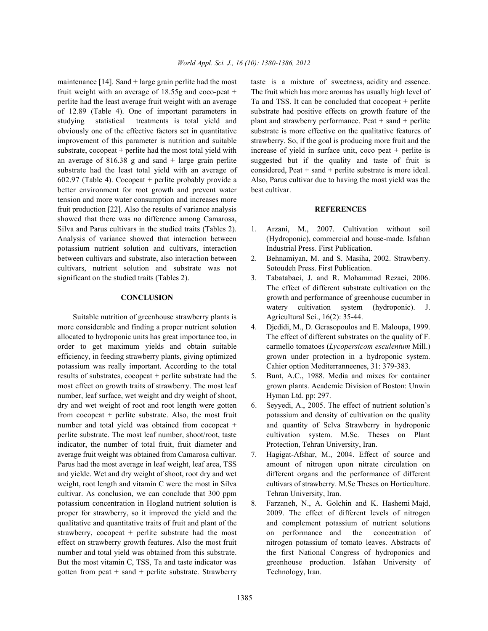fruit weight with an average of 18.55g and coco-peat + The fruit which has more aromas has usually high level of perlite had the least average fruit weight with an average Ta and TSS. It can be concluded that cocopeat + perlite of 12.89 (Table 4). One of important parameters in substrate had positive effects on growth feature of the studying statistical treatments is total yield and plant and strawberry performance. Peat + sand + perlite improvement of this parameter is nutrition and suitable strawberry. So, if the goal is producing more fruit and the substrate, cocopeat + perlite had the most total yield with increase of yield in surface unit, coco peat + perlite is an average of 816.38 g and sand + large grain perlite suggested but if the quality and taste of fruit is substrate had the least total yield with an average of considered, Peat + sand + perlite substrate is more ideal. 602.97 (Table 4). Cocopeat + perlite probably provide a Also, Parus cultivar due to having the most yield was the better environment for root growth and prevent water best cultivar. tension and more water consumption and increases more fruit production [22]. Also the results of variance analysis **REFERENCES** showed that there was no difference among Camarosa, Silva and Parus cultivars in the studied traits (Tables 2). 1. Arzani, M., 2007. Cultivation without soil Analysis of variance showed that interaction between (Hydroponic), commercial and house-made. Isfahan potassium nutrient solution and cultivars, interaction Industrial Press. First Publication. between cultivars and substrate, also interaction between 2. Behnamiyan, M. and S. Masiha, 2002. Strawberry. cultivars, nutrient solution and substrate was not Sotoudeh Press. First Publication. significant on the studied traits (Tables 2). 3. Tabatabaei, J. and R. Mohammad Rezaei, 2006.

Suitable nutrition of greenhouse strawberry plants is Agricultural Sci., 16(2): 35-44. more considerable and finding a proper nutrient solution 4. Djedidi, M., D. Gerasopoulos and E. Maloupa, 1999. allocated to hydroponic units has great importance too, in The effect of different substrates on the quality of F. order to get maximum yields and obtain suitable carmello tomatoes (*Lycopersicom esculentum* Mill.) efficiency, in feeding strawberry plants, giving optimized grown under protection in a hydroponic system. potassium was really important. According to the total Cahier option Mediterranneenes, 31: 379-383. results of substrates, cocopeat + perlite substrate had the 5. Bunt, A.C., 1988. Media and mixes for container most effect on growth traits of strawberry. The most leaf grown plants. Academic Division of Boston: Unwin number, leaf surface, wet weight and dry weight of shoot, Hyman Ltd. pp: 297. dry and wet weight of root and root length were gotten 6. Seyyedi, A., 2005. The effect of nutrient solution's from cocopeat + perlite substrate. Also, the most fruit potassium and density of cultivation on the quality number and total yield was obtained from cocopeat + and quantity of Selva Strawberry in hydroponic perlite substrate. The most leaf number, shoot/root, taste cultivation system. M.Sc. Theses on Plant indicator, the number of total fruit, fruit diameter and Protection, Tehran University, Iran. average fruit weight was obtained from Camarosa cultivar. 7. Hagigat-Afshar, M., 2004. Effect of source and Parus had the most average in leaf weight, leaf area, TSS amount of nitrogen upon nitrate circulation on and yielde. Wet and dry weight of shoot, root dry and wet different organs and the performance of different weight, root length and vitamin C were the most in Silva cultivars of strawberry. M.Sc Theses on Horticulture. cultivar. As conclusion, we can conclude that 300 ppm Tehran University, Iran. potassium concentration in Hogland nutrient solution is 8. Farzaneh, N., A. Golchin and K. Hashemi Majd, qualitative and quantitative traits of fruit and plant of the and complement potassium of nutrient solutions gotten from peat  $+$  sand  $+$  perlite substrate. Strawberry Technology, Iran.

maintenance [14]. Sand + large grain perlite had the most taste is a mixture of sweetness, acidity and essence. obviously one of the effective factors set in quantitative substrate is more effective on the qualitative features of

- 
- 
- **CONCLUSION** growth and performance of greenhouse cucumber in The effect of different substrate cultivation on the watery cultivation system (hydroponic). J.
	-
	-
	-
	-
- proper for strawberry, so it improved the yield and the 2009. The effect of different levels of nitrogen strawberry, cocopeat + perlite substrate had the most on performance and the concentration of effect on strawberry growth features. Also the most fruit nitrogen potassium of tomato leaves. Abstracts of number and total yield was obtained from this substrate. the first National Congress of hydroponics and But the most vitamin C, TSS, Ta and taste indicator was greenhouse production. Isfahan University of